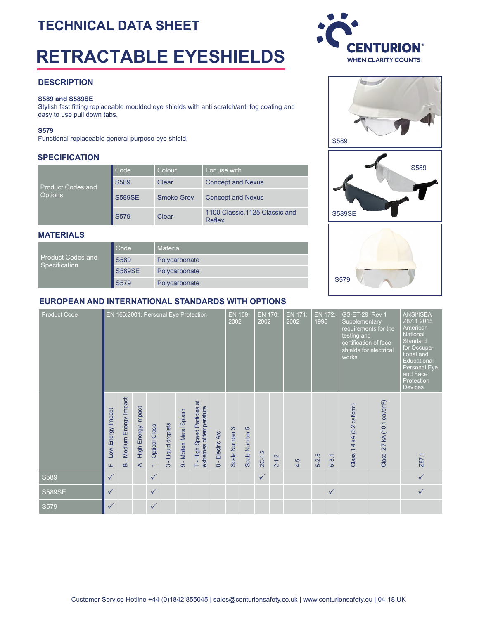# **TECHNICAL DATA SHEET**

# **RETRACTABLE EYESHIELDS**

## **DESCRIPTION**

#### **S589 and S589SE**

Stylish fast ftting replaceable moulded eye shields with anti scratch/anti fog coating and easy to use pull down tabs.

#### **S579**

Functional replaceable general purpose eye shield.

#### **SPECIFICATION**

| <b>Product Codes and</b> | Code          | Colour            | For use with                             |  |  |  |  |  |  |
|--------------------------|---------------|-------------------|------------------------------------------|--|--|--|--|--|--|
|                          | S589          | Clear             | <b>Concept and Nexus</b>                 |  |  |  |  |  |  |
| <b>Options</b>           | <b>S589SE</b> | <b>Smoke Grey</b> | <b>Concept and Nexus</b>                 |  |  |  |  |  |  |
|                          | S579          | Clear             | 1100 Classic, 1125 Classic and<br>Reflex |  |  |  |  |  |  |

#### **MATERIALS**

| <b>Product Codes and</b><br>Specification | Code          | Material      |  |  |  |  |  |
|-------------------------------------------|---------------|---------------|--|--|--|--|--|
|                                           | S589          | Polycarbonate |  |  |  |  |  |
|                                           | <b>S589SE</b> | Polycarbonate |  |  |  |  |  |
|                                           | <b>S579</b>   | Polycarbonate |  |  |  |  |  |

## **EUROPEAN AND INTERNATIONAL STANDARDS WITH OPTIONS**

| <b>Product Code</b> | EN 166:2001: Personal Eye Protection |                                    |                                       |                                                  |                                             |                                                 |                                                      | 2002                               | <b>EN 170:</b><br>EN 171:<br>EN 169:<br>2002<br>2002 |                |              | EN 172:<br>1995 |       | GS-ET-29 Rev 1<br>Supplementary<br>testing and<br>works | requirements for the<br>certification of face<br>shields for electrical | <b>ANSI/ISEA</b><br>Z87.1 2015<br>American<br><b>National</b><br><b>Standard</b><br>for Occupa-<br>tional and<br>Educational<br>Personal Eye<br>and Face<br>Protection<br><b>Devices</b> |                                            |              |
|---------------------|--------------------------------------|------------------------------------|---------------------------------------|--------------------------------------------------|---------------------------------------------|-------------------------------------------------|------------------------------------------------------|------------------------------------|------------------------------------------------------|----------------|--------------|-----------------|-------|---------------------------------------------------------|-------------------------------------------------------------------------|------------------------------------------------------------------------------------------------------------------------------------------------------------------------------------------|--------------------------------------------|--------------|
|                     | Low Energy Impact<br>Щ               | - Medium Energy Impact<br>$\omega$ | High Energy Impact<br>$\triangleleft$ | <b>Optical Class</b><br>$\overline{\phantom{0}}$ | Liquid droplets<br>$\mathbf{L}$<br>$\infty$ | Molten Metal Splash<br>$\overline{\mathcal{O}}$ | T-High Speed Particles at<br>extremes of temperature | Electric Arc<br>$\frac{1}{\infty}$ | Scale Number 3                                       | Scale Number 5 | $2C-1,2$     | $2 - 1,2$       | $4-5$ | $5 - 2,5$                                               | $5 - 3, 1$                                                              | Class 1 4 kA (3.2 cal/cm <sup>2</sup> )                                                                                                                                                  | 27 kA (10.1 cal/cm <sup>2</sup> )<br>Class | Z87.1        |
| S589                | $\checkmark$                         |                                    |                                       | $\checkmark$                                     |                                             |                                                 |                                                      |                                    |                                                      |                | $\checkmark$ |                 |       |                                                         |                                                                         |                                                                                                                                                                                          |                                            | $\checkmark$ |
| <b>S589SE</b>       | $\checkmark$                         |                                    |                                       | $\checkmark$                                     |                                             |                                                 |                                                      |                                    |                                                      |                |              |                 |       |                                                         | $\checkmark$                                                            |                                                                                                                                                                                          |                                            |              |
| S579                | $\checkmark$                         |                                    |                                       | $\checkmark$                                     |                                             |                                                 |                                                      |                                    |                                                      |                |              |                 |       |                                                         |                                                                         |                                                                                                                                                                                          |                                            |              |